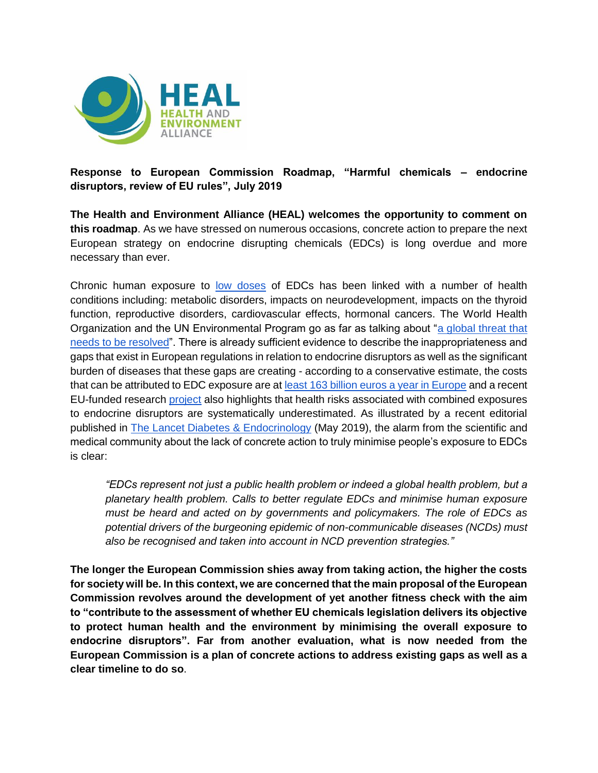

**Response to European Commission Roadmap, "Harmful chemicals – endocrine disruptors, review of EU rules", July 2019**

**The Health and Environment Alliance (HEAL) welcomes the opportunity to comment on this roadmap**. As we have stressed on numerous occasions, concrete action to prepare the next European strategy on endocrine disrupting chemicals (EDCs) is long overdue and more necessary than ever.

Chronic human exposure to [low doses](https://www.env-health.org/infographic-low-doses-matter/) of EDCs has been linked with a number of health conditions including: metabolic disorders, impacts on neurodevelopment, impacts on the thyroid function, reproductive disorders, cardiovascular effects, hormonal cancers. The World Health Organization and the UN Environmental Program go as far as talking about ["a global threat that](https://apps.who.int/iris/bitstream/handle/10665/78102/WHO_HSE_PHE_IHE_2013.1_eng.pdf;jsessionid=9F78AE00A795D0267EE171B0801DA8A3?sequence=1)  [needs to be resolved"](https://apps.who.int/iris/bitstream/handle/10665/78102/WHO_HSE_PHE_IHE_2013.1_eng.pdf;jsessionid=9F78AE00A795D0267EE171B0801DA8A3?sequence=1). There is already sufficient evidence to describe the inappropriateness and gaps that exist in European regulations in relation to endocrine disruptors as well as the significant burden of diseases that these gaps are creating - according to a conservative estimate, the costs that can be attributed to EDC exposure are at [least 163 billion euros a year in Europe](https://doi.org/10.1111/andr.12178) and a recent EU-funded research [project](https://www.env-health.org/health-risks-associated-with-combined-exposures-to-endocrine-disruptors-are-systematically-underestimated-shows-eu-research-project/) also highlights that health risks associated with combined exposures to endocrine disruptors are systematically underestimated. As illustrated by a recent editorial published in [The Lancet Diabetes & Endocrinology](https://www.thelancet.com/action/showPdf?pii=S2213-8587%2819%2930114-7) (May 2019), the alarm from the scientific and medical community about the lack of concrete action to truly minimise people's exposure to EDCs is clear:

*"EDCs represent not just a public health problem or indeed a global health problem, but a planetary health problem. Calls to better regulate EDCs and minimise human exposure must be heard and acted on by governments and policymakers. The role of EDCs as potential drivers of the burgeoning epidemic of non-communicable diseases (NCDs) must also be recognised and taken into account in NCD prevention strategies."*

**The longer the European Commission shies away from taking action, the higher the costs for society will be. In this context, we are concerned that the main proposal of the European Commission revolves around the development of yet another fitness check with the aim to "contribute to the assessment of whether EU chemicals legislation delivers its objective to protect human health and the environment by minimising the overall exposure to endocrine disruptors". Far from another evaluation, what is now needed from the European Commission is a plan of concrete actions to address existing gaps as well as a clear timeline to do so**.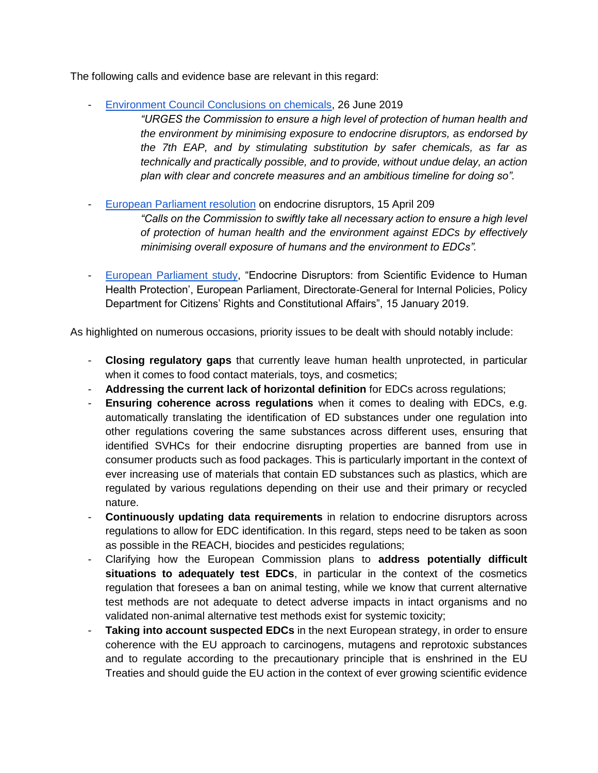The following calls and evidence base are relevant in this regard:

- [Environment Council Conclusions on chemicals,](http://data.consilium.europa.eu/doc/document/ST-10713-2019-INIT/en/pdf) 26 June 2019
	- *"URGES the Commission to ensure a high level of protection of human health and the environment by minimising exposure to endocrine disruptors, as endorsed by the 7th EAP, and by stimulating substitution by safer chemicals, as far as technically and practically possible, and to provide, without undue delay, an action plan with clear and concrete measures and an ambitious timeline for doing so".*
- [European Parliament resolution](http://www.europarl.europa.eu/doceo/document/B-8-2019-0241_EN.pdf) on endocrine disruptors, 15 April 209

*"Calls on the Commission to swiftly take all necessary action to ensure a high level of protection of human health and the environment against EDCs by effectively minimising overall exposure of humans and the environment to EDCs".*

- [European Parliament study,](http://www.europarl.europa.eu/RegData/etudes/STUD/2019/608866/IPOL_STU(2019)608866_EN.pdf) "Endocrine Disruptors: from Scientific Evidence to Human Health Protection', European Parliament, Directorate-General for Internal Policies, Policy Department for Citizens' Rights and Constitutional Affairs", 15 January 2019.

As highlighted on numerous occasions, priority issues to be dealt with should notably include:

- **Closing regulatory gaps** that currently leave human health unprotected, in particular when it comes to food contact materials, toys, and cosmetics;
- **Addressing the current lack of horizontal definition** for EDCs across regulations;
- **Ensuring coherence across regulations** when it comes to dealing with EDCs, e.g. automatically translating the identification of ED substances under one regulation into other regulations covering the same substances across different uses, ensuring that identified SVHCs for their endocrine disrupting properties are banned from use in consumer products such as food packages. This is particularly important in the context of ever increasing use of materials that contain ED substances such as plastics, which are regulated by various regulations depending on their use and their primary or recycled nature.
- **Continuously updating data requirements** in relation to endocrine disruptors across regulations to allow for EDC identification. In this regard, steps need to be taken as soon as possible in the REACH, biocides and pesticides regulations;
- Clarifying how the European Commission plans to **address potentially difficult situations to adequately test EDCs**, in particular in the context of the cosmetics regulation that foresees a ban on animal testing, while we know that current alternative test methods are not adequate to detect adverse impacts in intact organisms and no validated non-animal alternative test methods exist for systemic toxicity;
- **Taking into account suspected EDCs** in the next European strategy, in order to ensure coherence with the EU approach to carcinogens, mutagens and reprotoxic substances and to regulate according to the precautionary principle that is enshrined in the EU Treaties and should guide the EU action in the context of ever growing scientific evidence